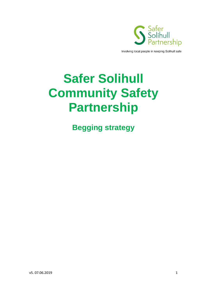

Involving local people in keeping Solihull safe

# **Safer Solihull Community Safety Partnership**

**Begging strategy**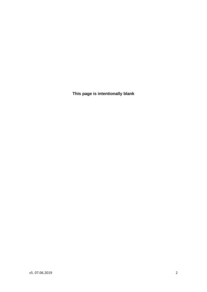**This page is intentionally blank**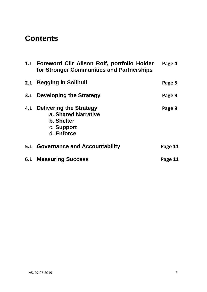# **Contents**

| 1.1 Foreword CIIr Alison Rolf, portfolio Holder<br>for Stronger Communities and Partnerships | Page 4  |
|----------------------------------------------------------------------------------------------|---------|
| 2.1 Begging in Solihull                                                                      | Page 5  |
| 3.1 Developing the Strategy                                                                  | Page 8  |
| 4.1 Delivering the Strategy<br>a. Shared Narrative<br>b. Shelter<br>c. Support<br>d. Enforce | Page 9  |
| 5.1 Governance and Accountability                                                            | Page 11 |
| <b>6.1 Measuring Success</b>                                                                 | Page 11 |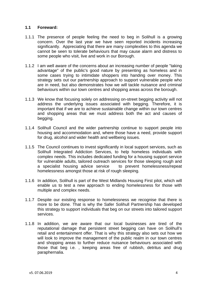## **1.1 Foreward:**

- 1.1.1 The presence of people feeling the need to beg in Solihull is a growing concern. Over the last year we have seen reported incidents increasing significantly. Appreciating that there are many complexities to this agenda we cannot be seen to tolerate behaviours that may cause alarm and distress to some people who visit, live and work in our Borough.
- 1.1.2 I am well aware of the concerns about an increasing number of people "taking advantage" of the public's good nature by presenting as homeless and in some cases trying to intimidate shoppers into handing over money. This strategy sets out our partnership approach to support vulnerable people who are in need, but also demonstrates how we will tackle nuisance and criminal behaviours within our town centres and shopping areas across the borough.
- 1.1.3 We know that focusing solely on addressing on-street begging activity will not address the underlying issues associated with begging. Therefore, it is important that if we are to achieve sustainable change within our town centres and shopping areas that we must address both the act and causes of begging.
- 1.1.4 Solihull Council and the wider partnership continue to support people into housing and accommodation and, where those have a need, provide support for drug, alcohol and wider health and wellbeing issues.
- 1.1.5 The Council continues to invest significantly in local support services, such as Solihull Integrated Addiction Services, to help homeless individuals with complex needs. This includes dedicated funding for a housing support service for vulnerable adults, tailored outreach services for those sleeping rough and a specialist housing advice service to prevent homelessness/repeat homelessness amongst those at risk of rough sleeping.
- 1.1.6 In addition, Solihull is part of the West Midlands Housing First pilot, which will enable us to test a new approach to ending homelessness for those with multiple and complex needs.
- 1.1.7 Despite our existing response to homelessness we recognise that there is more to be done. That is why the Safer Solihull Partnership has developed this strategy to support individuals that beg on our streets into tailored support services.
- 1.1.8 In addition, we are aware that our local businesses are tired of the reputational damage that persistent street begging can have on Solihull's retail and entertainment offer. That is why this strategy also sets out how we will look to improve the management of the public realm in our town centres and shopping areas to further reduce nuisance behaviours associated with those that beg i.e. , keeping areas free of rubbish, detritus and drug paraphernalia.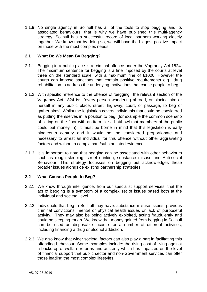1.1.9 No single agency in Solihull has all of the tools to stop begging and its associated behaviours; that is why we have published this multi-agency strategy. Solihull has a successful record of local partners working closely together. We know that by doing so, we will have the biggest positive impact on those with the most complex needs.

# **2.1 What Do We Mean By Begging?**

- 2.1.1 Begging in a public place is a criminal offence under the Vagrancy Act 1824. The maximum sentence for begging is a fine imposed by the courts at level three on the standard scale, with a maximum fine of £1000. However the courts can impose sanctions that contain positive requirements e.g., drug rehabilitation to address the underlying motivations that cause people to beg.
- 2.1.2 With specific reference to the offence of 'begging', the relevant section of the Vagrancy Act 1824 is: 'every person wandering abroad, or placing him or herself in any public place, street, highway, court, or passage, to beg or gather alms'. Whilst the legislation covers individuals that could be considered as putting themselves in 'a position to beg' (for example the common scenario of sitting on the floor with an item like a hat/bowl that members of the public could put money in), it must be borne in mind that this legislation is early nineteenth century and it would not be considered proportionate and necessary to arrest an individual for this offence without other aggravating factors and without a complainant/substantiated evidence.
- 2.1.3 It is important to note that begging can be associated with other behaviours such as rough sleeping, street drinking, substance misuse and Anti-social Behaviour. This strategy focusses on begging but acknowledges these broader issues alongside existing partnership strategies.

# **2.2 What Causes People to Beg?**

- 2.2.1 We know through intelligence, from our specialist support services, that the act of begging is a symptom of a complex set of issues based both at the individual and societal level.
- 2.2.2 Individuals that beg in Solihull may have: substance misuse issues, previous criminal convictions, mental or physical health issues or lack of purposeful activity. They may also be being actively exploited, acting fraudulently and could be sleeping rough. We know that money gained from begging in Solihull can be used as disposable income for a number of different activities, including financing a drug or alcohol addiction.
- 2.2.3 We also know that wider societal factors can also play a part in facilitating this offending behaviour. Some examples include: the rising cost of living against a backdrop of welfare reforms and austerity which has impacted on the level of financial support that public sector and non-Government services can offer those leading the most complex lifestyles.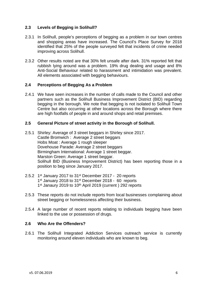# **2.3 Levels of Begging in Solihull?**

- 2.3.1 In Solihull, people's perceptions of begging as a problem in our town centres and shopping areas have increased. The Council's Place Survey for 2018 identified that 25% of the people surveyed felt that incidents of crime needed improving across Solihull.
- 2.3.2 Other results noted are that 30% felt unsafe after dark. 31% reported felt that rubbish lying around was a problem. 19% drug dealing and usage and 8% Anti-Social Behaviour related to harassment and intimidation was prevalent. All elements associated with begging behaviours.

# **2.4 Perceptions of Begging As a Problem**

2.4.1 We have seen increases in the number of calls made to the Council and other partners such as the Solihull Business Improvement District (BID) regarding begging in the borough. We note that begging is not isolated to Solihull Town Centre but also occurring at other locations across the Borough where there are high footfalls of people in and around shops and retail premises.

# **2.5 General Picture of street activity in the Borough of Solihull.**

- 2.5.1 Shirley: Average of 3 street beggars in Shirley since 2017. Castle Bromwich : Average 2 street beggars Hobs Moat : Average 1 rough sleeper Dovehouse Parade: Average 2 street beggars Birmingham International: Average 1 street beggar. Marston Green: Average 1 street beggar. Solihull BID (Business Improvement District) has been reporting those in a position to beg since January 2017.
- 2.5.2 1st January 2017 to 31st December 2017 20 reports 1<sup>st</sup> January 2018 to 31<sup>st</sup> December 2018 - 60 reports 1<sup>st</sup> Janaury 2019 to 10<sup>th</sup> April 2019 (current) 292 reports
- 2.5.3 These reports do not include reports from local businesses complaining about street begging or homelessness affecting their business.
- 2.5.4 A large number of recent reports relating to individuals begging have been linked to the use or possession of drugs.

# **2.6 Who Are the Offenders?**

2.6.1 The Solihull Integrated Addiction Services outreach service is currently monitoring around eleven individuals who are known to beg.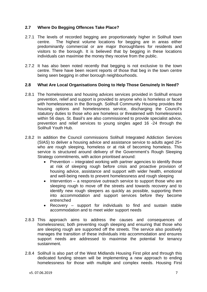# **2.7 Where Do Begging Offences Take Place?**

- 2.7.1 The levels of recorded begging are proportionately higher in Solihull town centre. The highest volume locations for begging are in areas either predominantly commercial or are major thoroughfares for residents and visitors to the borough. It is believed that by begging in these locations individuals can maximise the money they receive from the public.
- 2.7.2 It has also been noted recently that begging is not exclusive to the town centre. There have been recent reports of those that beg in the town centre being seen begging in other borough neighbourhoods.

# **2.8 What Are Local Organisations Doing to Help Those Genuinely In Need?**

- 2.8.1 The homelessness and housing advices services provided in Solihull ensure prevention, relief and support is provided to anyone who is homeless or faced with homelessness in the Borough. Solihull Community Housing provides the housing options and homelessness service, discharging the Council's statutory duties to those who are homeless or threatened with homelessness within 56 days. St. Basil's are also commissioned to provide specialist advice, prevention and relief services to young singles aged 16 -24 through the Solihull Youth Hub.
- 2.8.2 In addition the Council commissions Solihull Integrated Addiction Services (SIAS) to deliver a housing advice and assistance service to adults aged 25+ who are rough sleeping, homeless or at risk of becoming homeless. This service is structured around delivery of the Government's Rough Sleeping Strategy commitments, with action prioritised around:
	- $\bullet$  Prevention integrated working with partner agencies to identify those at risk of sleeping rough before crisis and proactive provision of housing advice, assistance and support with wider health, emotional and well-being needs to prevent homelessness and rough sleeping
	- $\bullet$  Intervention a responsive outreach service to support those who are sleeping rough to move off the streets and towards recovery and to identify new rough sleepers as quickly as possible, supporting them into accommodation and support services before they become entrenched
	- Recovery support for individuals to find and sustain stable accommodation and to meet wider support needs
- 2.8.3 This approach aims to address the causes and consequences of homelessness; both preventing rough sleeping and ensuring that those who are sleeping rough are supported off the streets. The service also positively manages the transition of these individuals into accommodation and ensures support needs are addressed to maximise the potential for tenancy sustainment.
- 2.8.4 Solihull is also part of the West Midlands Housing First pilot and through this dedicated funding stream will be implementing a new approach to ending homelessness for those with multiple and complex needs. Housing First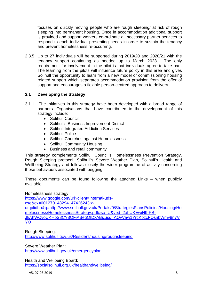focuses on quickly moving people who are rough sleeping/ at risk of rough sleeping into permanent housing. Once in accommodation additional support is provided and support workers co-ordinate all necessary partner services to respond to each individual presenting needs in order to sustain the tenancy and prevent homelessness re-occurring.

2.8.5 Up to 27 individuals will be supported during 2019/20 and 2020/21 with the tenancy support continuing as needed up to March 2023. The only requirement for involvement in the pilot is that individuals agree to take part. The learning from the pilots will influence future policy in this area and gives Solihull the opportunity to learn from a new model of commissioning housing related support which separates accommodation provision from the offer of support and encourages a flexible person-centred approach to delivery.

# **3.1 Developing the Strategy**

- 3.1.1 The initiatives in this strategy have been developed with a broad range of partners. Organisations that have contributed to the development of this strategy include:
	- Solihull Council
	- Solihull's Business Improvement District
	- Solihull Integrated Addiction Services
	- Solihull Police
	- Solihull Churches against Homelessness
	- Solihull Community Housing
	- Business and retail community

This strategy complements Solihull Council's Homelessness Prevention Strategy, Rough Sleeping protocol, Solihull's Severe Weather Plan, Solihull's Health and Wellbeing Strategy and follows closely the wider programme of activity concerning those behaviours associated with begging.

These documents can be found following the attached Links – when publicly available:

Homelessness strategy:

[https://www.google.com/url?client=internal-uds-](https://www.google.com/url?client=internal-uds-cse&cx=001270148294147426243:x-utqplidho&q=http://www.solihull.gov.uk/Portals/0/StrategiesPlansPolicies/Housing/Homelessness/HomelessnessStrategy.pdf&sa=U&ved=2ahUKEwiN9-PB-JfiAhWCyoUKHbS8CY8QFjABegQIDxAB&usg=AOvVaw1YrcKbzcFOsnbWmy8n7VYO)

[cse&cx=001270148294147426243:x-](https://www.google.com/url?client=internal-uds-cse&cx=001270148294147426243:x-utqplidho&q=http://www.solihull.gov.uk/Portals/0/StrategiesPlansPolicies/Housing/Homelessness/HomelessnessStrategy.pdf&sa=U&ved=2ahUKEwiN9-PB-JfiAhWCyoUKHbS8CY8QFjABegQIDxAB&usg=AOvVaw1YrcKbzcFOsnbWmy8n7VYO)

[utqplidho&q=http://www.solihull.gov.uk/Portals/0/StrategiesPlansPolicies/Housing/Ho](https://www.google.com/url?client=internal-uds-cse&cx=001270148294147426243:x-utqplidho&q=http://www.solihull.gov.uk/Portals/0/StrategiesPlansPolicies/Housing/Homelessness/HomelessnessStrategy.pdf&sa=U&ved=2ahUKEwiN9-PB-JfiAhWCyoUKHbS8CY8QFjABegQIDxAB&usg=AOvVaw1YrcKbzcFOsnbWmy8n7VYO) [melessness/HomelessnessStrategy.pdf&sa=U&ved=2ahUKEwiN9-PB-](https://www.google.com/url?client=internal-uds-cse&cx=001270148294147426243:x-utqplidho&q=http://www.solihull.gov.uk/Portals/0/StrategiesPlansPolicies/Housing/Homelessness/HomelessnessStrategy.pdf&sa=U&ved=2ahUKEwiN9-PB-JfiAhWCyoUKHbS8CY8QFjABegQIDxAB&usg=AOvVaw1YrcKbzcFOsnbWmy8n7VYO)

[JfiAhWCyoUKHbS8CY8QFjABegQIDxAB&usg=AOvVaw1YrcKbzcFOsnbWmy8n7V](https://www.google.com/url?client=internal-uds-cse&cx=001270148294147426243:x-utqplidho&q=http://www.solihull.gov.uk/Portals/0/StrategiesPlansPolicies/Housing/Homelessness/HomelessnessStrategy.pdf&sa=U&ved=2ahUKEwiN9-PB-JfiAhWCyoUKHbS8CY8QFjABegQIDxAB&usg=AOvVaw1YrcKbzcFOsnbWmy8n7VYO) [YO](https://www.google.com/url?client=internal-uds-cse&cx=001270148294147426243:x-utqplidho&q=http://www.solihull.gov.uk/Portals/0/StrategiesPlansPolicies/Housing/Homelessness/HomelessnessStrategy.pdf&sa=U&ved=2ahUKEwiN9-PB-JfiAhWCyoUKHbS8CY8QFjABegQIDxAB&usg=AOvVaw1YrcKbzcFOsnbWmy8n7VYO)

Rough Sleeping: <http://www.solihull.gov.uk/Resident/housing/roughsleeping>

Severe Weather Plan: <http://www.solihull.gov.uk/emergencyplan>

Health and Wellbeing Board: <https://socialsolihull.org.uk/healthandwellbeing/>

v5. 07.06.2019 8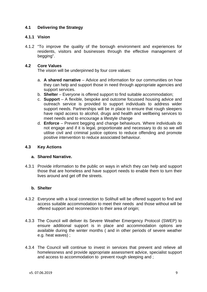# **4.1 Delivering the Strategy**

# **4.1.1 Vision**

4.1.2 "To improve the quality of the borough environment and experiences for residents, visitors and businesses through the effective management of begging".

# **4.2 Core Values**

The vision will be underpinned by four core values:

- a. **A shared narrative** Advice and information for our communities on how they can help and support those in need through appropriate agencies and support services.
- b. **Shelter** Everyone is offered support to find suitable accommodation;
- c. **Support** A flexible, bespoke and outcome focussed housing advice and outreach service is provided to support individuals to address wider support needs. Partnerships will be in place to ensure that rough sleepers have rapid access to alcohol, drugs and health and wellbeing services to meet needs and to encourage a lifestyle change
- d. **Enforce** Prevent begging and change behaviours. Where individuals do not engage and if it is legal, proportionate and necessary to do so we will utilise civil and criminal justice options to reduce offending and promote positive intervention to reduce associated behaviour.

# **4.3 Key Actions**

# **a. Shared Narrative.**

4.3.1 Provide information to the public on ways in which they can help and support those that are homeless and have support needs to enable them to turn their lives around and get off the streets.

# **b. Shelter**

- 4.3.2 Everyone with a local connection to Solihull will be offered support to find and access suitable accommodation to meet their needs and those without will be offered support and reconnection to their area of origin;
- 4.3.3 The Council will deliver its Severe Weather Emergency Protocol (SWEP) to ensure additional support is in place and accommodation options are available during the winter months ( and in other periods of severe weather e.g. heat waves) ;
- 4.3.4 The Council will continue to invest in services that prevent and relieve all homelessness and provide appropriate assessment advice, specialist support and access to accommodation to prevent rough sleeping and ;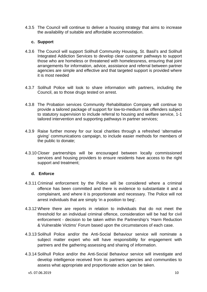4.3.5 The Council will continue to deliver a housing strategy that aims to increase the availability of suitable and affordable accommodation.

# **c. Support**

- 4.3.6 The Council will support Solihull Community Housing, St. Basil's and Solihull Integrated Addiction Services to develop clear customer pathways to support those who are homeless or threatened with homelessness, ensuring that joint arrangements for information, advice, assistance and referral between partner agencies are simple and effective and that targeted support is provided where it is most needed
- 4.3.7 Solihull Police will look to share information with partners, including the Council, as to those drugs tested on arrest.
- 4.3.8 The Probation services Community Rehabilitation Company will continue to provide a tailored package of support for low-to-medium risk offenders subject to statutory supervision to include referral to housing and welfare service, 1-1 tailored intervention and supporting pathways in partner services;
- 4.3.9 Raise further money for our local charities through a refreshed 'alternative giving' communications campaign, to include easier methods for members of the public to donate;
- 4.3.10 Closer partnerships will be encouraged between locally commissioned services and housing providers to ensure residents have access to the right support and treatment;

# **d. Enforce**

- 4.3.11 Criminal enforcement by the Police will be considered where a criminal offence has been committed and there is evidence to substantiate it and a complainant, and where it is proportionate and necessary. The Police will not arrest individuals that are simply 'in a position to beg'.
- 4.3.12 Where there are reports in relation to individuals that do not meet the threshold for an individual criminal offence, consideration will be had for civil enforcement - decision to be taken within the Partnership's 'Harm Reduction & Vulnerable Victims' Forum based upon the circumstances of each case.
- 4.3.13 Solihull Police and/or the Anti-Social Behaviour service will nominate a subject matter expert who will have responsibility for engagement with partners and the gathering assessing and sharing of information.
- 4.3.14 Solihull Police and/or the Anti-Social Behaviour service will investigate and develop intelligence received from its partners agencies and communities to assess what appropriate and proportionate action can be taken.